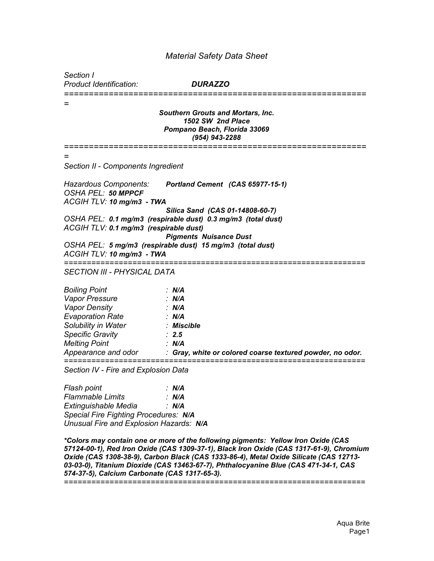## *Material Safety Data Sheet*

*Section I*

*Product Identification: DURAZZO*

*============================================================= = Southern Grouts and Mortars, Inc. 1502 SW 2nd Place Pompano Beach, Florida 33069 (954) 943-2288 ============================================================= = Section II - Components Ingredient Hazardous Components: Portland Cement (CAS 65977-15-1) OSHA PEL: 50 MPPCF ACGIH TLV: 10 mg/m3 - TWA Silica Sand (CAS 01-14808-60-7) OSHA PEL: 0.1 mg/m3 (respirable dust) 0.3 mg/m3 (total dust) ACGIH TLV: 0.1 mg/m3 (respirable dust) Pigments Nuisance Dust OSHA PEL: 5 mg/m3 (respirable dust) 15 mg/m3 (total dust) ACGIH TLV: 10 mg/m3 - TWA ================================================================== SECTION III - PHYSICAL DATA Boiling Point : N/A Vapor Pressure : N/A Vapor Density : N/A Evaporation Rate : N/A Solubility in Water : Miscible Specific Gravity : 2.5 Melting Point : N/A Appearance and odor : Gray, white or colored coarse textured powder, no odor. ================================================================== Section IV - Fire and Explosion Data Flash point : N/A Flammable Limits : N/A Extinguishable Media : N/A Special Fire Fighting Procedures: N/A*

*Unusual Fire and Explosion Hazards: N/A*

*\*Colors may contain one or more of the following pigments: Yellow Iron Oxide (CAS 57124-00-1), Red Iron Oxide (CAS 1309-37-1), Black Iron Oxide (CAS 1317-61-9), Chromium Oxide (CAS 1308-38-9), Carbon Black (CAS 1333-86-4), Metal Oxide Silicate (CAS 12713- 03-03-0), Titanium Dioxide (CAS 13463-67-7), Phthalocyanine Blue (CAS 471-34-1, CAS 574-37-5), Calcium Carbonate (CAS 1317-65-3). ==================================================================*